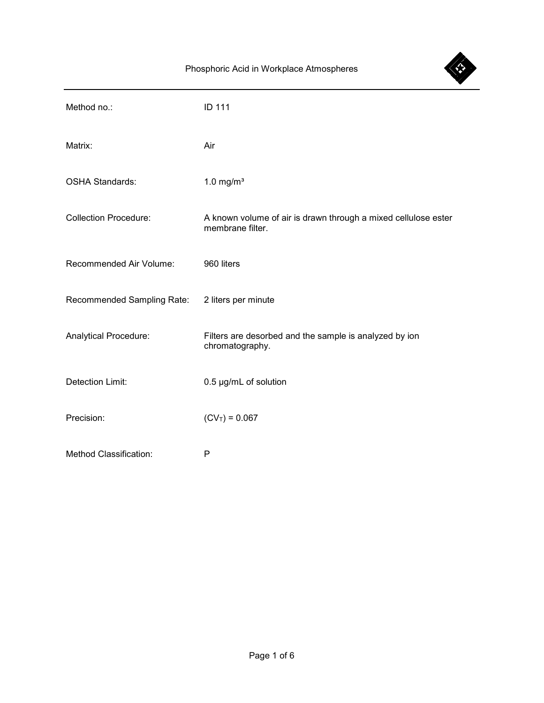

| Method no.:                  | <b>ID 111</b>                                                                      |
|------------------------------|------------------------------------------------------------------------------------|
| Matrix:                      | Air                                                                                |
| <b>OSHA Standards:</b>       | 1.0 mg/ $m3$                                                                       |
| <b>Collection Procedure:</b> | A known volume of air is drawn through a mixed cellulose ester<br>membrane filter. |
| Recommended Air Volume:      | 960 liters                                                                         |
| Recommended Sampling Rate:   | 2 liters per minute                                                                |
| Analytical Procedure:        | Filters are desorbed and the sample is analyzed by ion<br>chromatography.          |
| Detection Limit:             | 0.5 µg/mL of solution                                                              |
| Precision:                   | $(CV_T) = 0.067$                                                                   |
| Method Classification:       | P                                                                                  |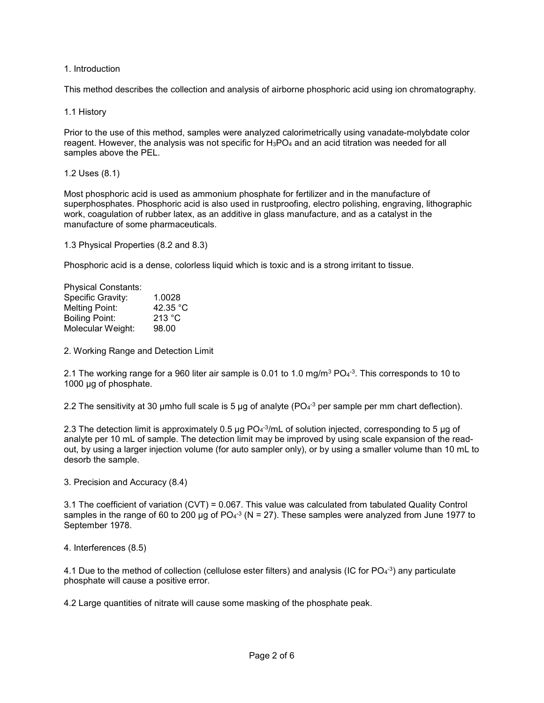## 1. Introduction

This method describes the collection and analysis of airborne phosphoric acid using ion chromatography.

1.1 History

Prior to the use of this method, samples were analyzed calorimetrically using vanadate-molybdate color reagent. However, the analysis was not specific for H<sub>3</sub>PO<sub>4</sub> and an acid titration was needed for all samples above the PEL.

1.2 Uses (8.1)

Most phosphoric acid is used as ammonium phosphate for fertilizer and in the manufacture of superphosphates. Phosphoric acid is also used in rustproofing, electro polishing, engraving, lithographic work, coagulation of rubber latex, as an additive in glass manufacture, and as a catalyst in the manufacture of some pharmaceuticals.

1.3 Physical Properties (8.2 and 8.3)

Phosphoric acid is a dense, colorless liquid which is toxic and is a strong irritant to tissue.

| <b>Physical Constants:</b> |          |
|----------------------------|----------|
| Specific Gravity:          | 1.0028   |
| <b>Melting Point:</b>      | 42.35 °C |
| <b>Boiling Point:</b>      | 213 °C   |
| Molecular Weight:          | 98.00    |

2. Working Range and Detection Limit

2.1 The working range for a 960 liter air sample is 0.01 to 1.0 mg/m<sup>3</sup> PO<sub>4</sub>-3. This corresponds to 10 to 1000 µg of phosphate.

2.2 The sensitivity at 30 µmho full scale is 5 µg of analyte ( $PQ_4$ <sup>3</sup> per sample per mm chart deflection).

2.3 The detection limit is approximately 0.5  $\mu$ g PO<sub>4</sub>-3/mL of solution injected, corresponding to 5  $\mu$ g of analyte per 10 mL of sample. The detection limit may be improved by using scale expansion of the readout, by using a larger injection volume (for auto sampler only), or by using a smaller volume than 10 mL to desorb the sample.

3. Precision and Accuracy (8.4)

3.1 The coefficient of variation (CVT) = 0.067. This value was calculated from tabulated Quality Control samples in the range of 60 to 200 µg of  $PO<sub>4</sub>$ <sup>3</sup> (N = 27). These samples were analyzed from June 1977 to September 1978.

4. Interferences (8.5)

4.1 Due to the method of collection (cellulose ester filters) and analysis (IC for PO<sub>4</sub>-3) any particulate phosphate will cause a positive error.

4.2 Large quantities of nitrate will cause some masking of the phosphate peak.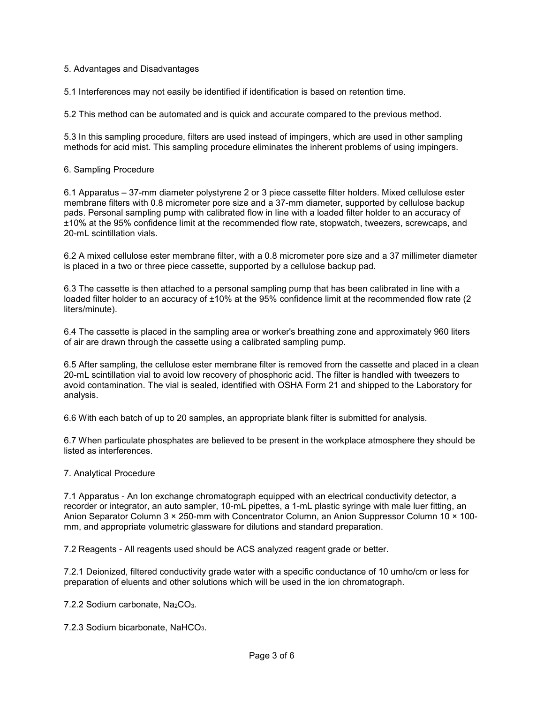# 5. Advantages and Disadvantages

5.1 Interferences may not easily be identified if identification is based on retention time.

5.2 This method can be automated and is quick and accurate compared to the previous method.

5.3 In this sampling procedure, filters are used instead of impingers, which are used in other sampling methods for acid mist. This sampling procedure eliminates the inherent problems of using impingers.

#### 6. Sampling Procedure

6.1 Apparatus – 37-mm diameter polystyrene 2 or 3 piece cassette filter holders. Mixed cellulose ester membrane filters with 0.8 micrometer pore size and a 37-mm diameter, supported by cellulose backup pads. Personal sampling pump with calibrated flow in line with a loaded filter holder to an accuracy of ±10% at the 95% confidence limit at the recommended flow rate, stopwatch, tweezers, screwcaps, and 20-mL scintillation vials.

6.2 A mixed cellulose ester membrane filter, with a 0.8 micrometer pore size and a 37 millimeter diameter is placed in a two or three piece cassette, supported by a cellulose backup pad.

6.3 The cassette is then attached to a personal sampling pump that has been calibrated in line with a loaded filter holder to an accuracy of ±10% at the 95% confidence limit at the recommended flow rate (2) liters/minute).

6.4 The cassette is placed in the sampling area or worker's breathing zone and approximately 960 liters of air are drawn through the cassette using a calibrated sampling pump.

6.5 After sampling, the cellulose ester membrane filter is removed from the cassette and placed in a clean 20-mL scintillation vial to avoid low recovery of phosphoric acid. The filter is handled with tweezers to avoid contamination. The vial is sealed, identified with OSHA Form 21 and shipped to the Laboratory for analysis.

6.6 With each batch of up to 20 samples, an appropriate blank filter is submitted for analysis.

6.7 When particulate phosphates are believed to be present in the workplace atmosphere they should be listed as interferences.

#### 7. Analytical Procedure

7.1 Apparatus - An Ion exchange chromatograph equipped with an electrical conductivity detector, a recorder or integrator, an auto sampler, 10-mL pipettes, a 1-mL plastic syringe with male luer fitting, an Anion Separator Column 3 × 250-mm with Concentrator Column, an Anion Suppressor Column 10 × 100 mm, and appropriate volumetric glassware for dilutions and standard preparation.

7.2 Reagents - All reagents used should be ACS analyzed reagent grade or better.

7.2.1 Deionized, filtered conductivity grade water with a specific conductance of 10 umho/cm or less for preparation of eluents and other solutions which will be used in the ion chromatograph.

7.2.2 Sodium carbonate, Na<sub>2</sub>CO<sub>3</sub>.

7.2.3 Sodium bicarbonate, NaHCO3.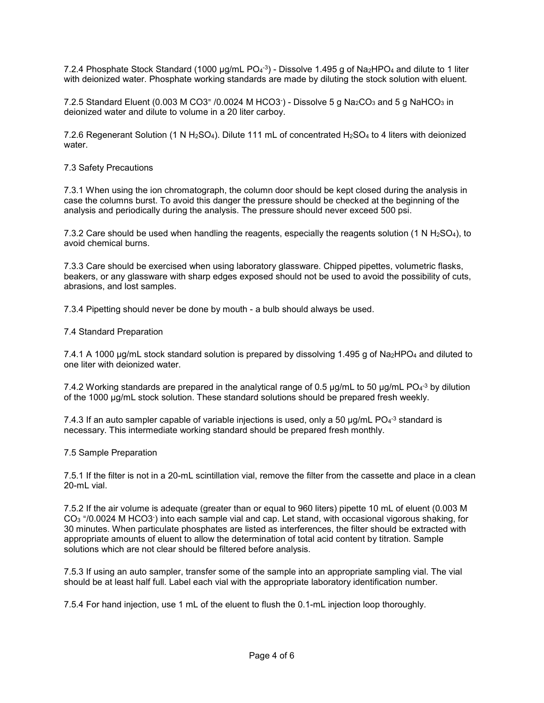7.2.4 Phosphate Stock Standard (1000 µg/mL PO<sub>4</sub>-3) - Dissolve 1.495 g of Na<sub>2</sub>HPO<sub>4</sub> and dilute to 1 liter with deionized water. Phosphate working standards are made by diluting the stock solution with eluent.

7.2.5 Standard Eluent (0.003 M CO3<sup>=</sup> /0.0024 M HCO3<sup>-</sup>) - Dissolve 5 g Na $_2$ CO $_3$  and 5 g NaHCO $_3$  in deionized water and dilute to volume in a 20 liter carboy.

7.2.6 Regenerant Solution (1 N H2SO4). Dilute 111 mL of concentrated H2SO4 to 4 liters with deionized water.

7.3 Safety Precautions

7.3.1 When using the ion chromatograph, the column door should be kept closed during the analysis in case the columns burst. To avoid this danger the pressure should be checked at the beginning of the analysis and periodically during the analysis. The pressure should never exceed 500 psi.

7.3.2 Care should be used when handling the reagents, especially the reagents solution (1 N H<sub>2</sub>SO<sub>4</sub>), to avoid chemical burns.

7.3.3 Care should be exercised when using laboratory glassware. Chipped pipettes, volumetric flasks, beakers, or any glassware with sharp edges exposed should not be used to avoid the possibility of cuts, abrasions, and lost samples.

7.3.4 Pipetting should never be done by mouth - a bulb should always be used.

## 7.4 Standard Preparation

7.4.1 A 1000 µg/mL stock standard solution is prepared by dissolving 1.495 g of Na<sub>2</sub>HPO<sub>4</sub> and diluted to one liter with deionized water.

7.4.2 Working standards are prepared in the analytical range of 0.5  $\mu$ g/mL to 50  $\mu$ g/mL PO<sub>4</sub>-3 by dilution of the 1000 µg/mL stock solution. These standard solutions should be prepared fresh weekly.

7.4.3 If an auto sampler capable of variable injections is used, only a 50  $\mu$ g/mL PO<sub>4</sub>-3 standard is necessary. This intermediate working standard should be prepared fresh monthly.

#### 7.5 Sample Preparation

7.5.1 If the filter is not in a 20-mL scintillation vial, remove the filter from the cassette and place in a clean 20-mL vial.

7.5.2 If the air volume is adequate (greater than or equal to 960 liters) pipette 10 mL of eluent (0.003 M CO $_3$  =/0.0024 M HCO3 ) into each sample vial and cap. Let stand, with occasional vigorous shaking, for 30 minutes. When particulate phosphates are listed as interferences, the filter should be extracted with appropriate amounts of eluent to allow the determination of total acid content by titration. Sample solutions which are not clear should be filtered before analysis.

7.5.3 If using an auto sampler, transfer some of the sample into an appropriate sampling vial. The vial should be at least half full. Label each vial with the appropriate laboratory identification number.

7.5.4 For hand injection, use 1 mL of the eluent to flush the 0.1-mL injection loop thoroughly.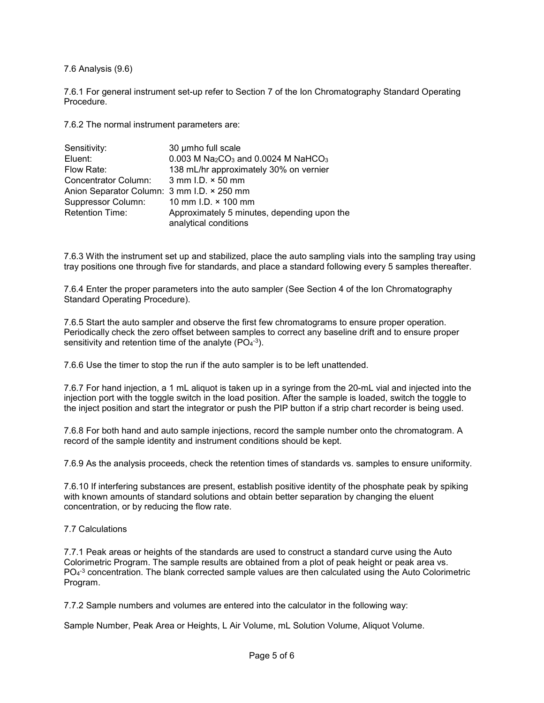7.6 Analysis (9.6)

7.6.1 For general instrument set-up refer to Section 7 of the Ion Chromatography Standard Operating Procedure.

7.6.2 The normal instrument parameters are:

| Sensitivity:                               | 30 µmho full scale                                                        |
|--------------------------------------------|---------------------------------------------------------------------------|
| Eluent:                                    | $0.003$ M Na <sub>2</sub> CO <sub>3</sub> and 0.0024 M NaHCO <sub>3</sub> |
| Flow Rate:                                 | 138 mL/hr approximately 30% on vernier                                    |
| Concentrator Column: 3 mm I.D. × 50 mm     |                                                                           |
| Anion Separator Column: 3 mm I.D. × 250 mm |                                                                           |
| <b>Suppressor Column:</b>                  | 10 mm I.D. $\times$ 100 mm                                                |
| <b>Retention Time:</b>                     | Approximately 5 minutes, depending upon the<br>analytical conditions      |

7.6.3 With the instrument set up and stabilized, place the auto sampling vials into the sampling tray using tray positions one through five for standards, and place a standard following every 5 samples thereafter.

7.6.4 Enter the proper parameters into the auto sampler (See Section 4 of the Ion Chromatography Standard Operating Procedure).

7.6.5 Start the auto sampler and observe the first few chromatograms to ensure proper operation. Periodically check the zero offset between samples to correct any baseline drift and to ensure proper sensitivity and retention time of the analyte  $(PO<sub>4</sub><sup>-3</sup>)$ .

7.6.6 Use the timer to stop the run if the auto sampler is to be left unattended.

7.6.7 For hand injection, a 1 mL aliquot is taken up in a syringe from the 20-mL vial and injected into the injection port with the toggle switch in the load position. After the sample is loaded, switch the toggle to the inject position and start the integrator or push the PIP button if a strip chart recorder is being used.

7.6.8 For both hand and auto sample injections, record the sample number onto the chromatogram. A record of the sample identity and instrument conditions should be kept.

7.6.9 As the analysis proceeds, check the retention times of standards vs. samples to ensure uniformity.

7.6.10 If interfering substances are present, establish positive identity of the phosphate peak by spiking with known amounts of standard solutions and obtain better separation by changing the eluent concentration, or by reducing the flow rate.

# 7.7 Calculations

7.7.1 Peak areas or heights of the standards are used to construct a standard curve using the Auto Colorimetric Program. The sample results are obtained from a plot of peak height or peak area vs.  $PQ<sub>4</sub>$ <sup>3</sup> concentration. The blank corrected sample values are then calculated using the Auto Colorimetric Program.

7.7.2 Sample numbers and volumes are entered into the calculator in the following way:

Sample Number, Peak Area or Heights, L Air Volume, mL Solution Volume, Aliquot Volume.